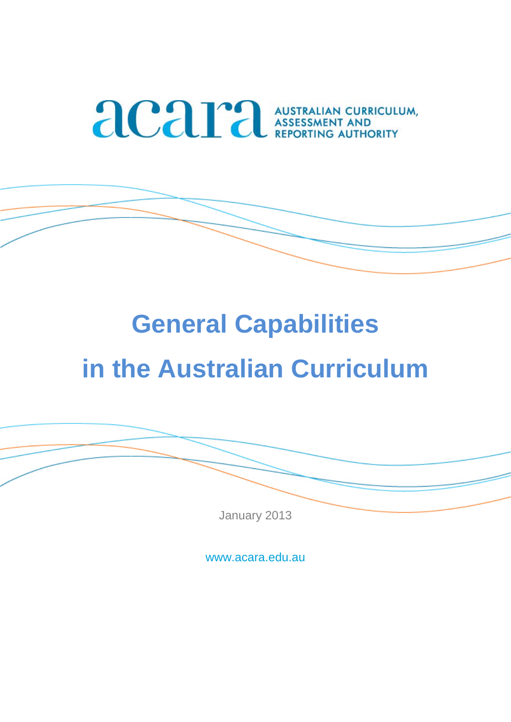

# **General Capabilities**

# **in the Australian Curriculum**



January 2013

www.acara.edu.au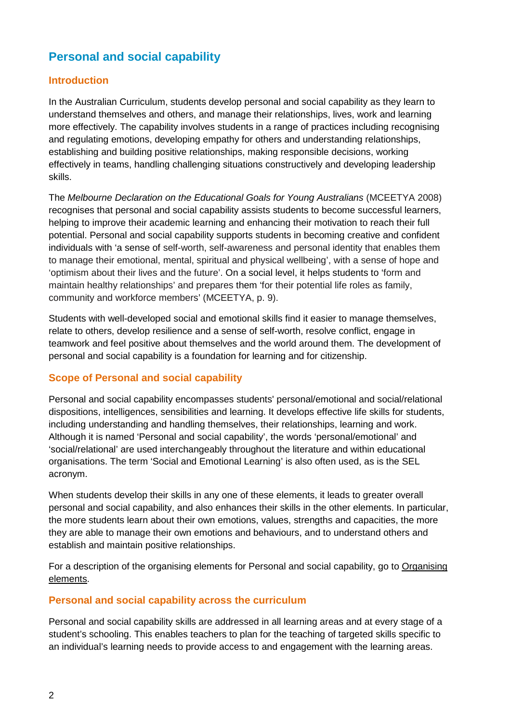# **Personal and social capability**

#### **Introduction**

In the Australian Curriculum, students develop personal and social capability as they learn to understand themselves and others, and manage their relationships, lives, work and learning more effectively. The capability involves students in a range of practices including recognising and regulating emotions, developing empathy for others and understanding relationships, establishing and building positive relationships, making responsible decisions, working effectively in teams, handling challenging situations constructively and developing leadership skills.

The *Melbourne Declaration on the Educational Goals for Young Australians* (MCEETYA 2008) recognises that personal and social capability assists students to become successful learners, helping to improve their academic learning and enhancing their motivation to reach their full potential. Personal and social capability supports students in becoming creative and confident individuals with 'a sense of self-worth, self-awareness and personal identity that enables them to manage their emotional, mental, spiritual and physical wellbeing', with a sense of hope and 'optimism about their lives and the future'. On a social level, it helps students to 'form and maintain healthy relationships' and prepares them 'for their potential life roles as family, community and workforce members' (MCEETYA, p. 9).

Students with well-developed social and emotional skills find it easier to manage themselves, relate to others, develop resilience and a sense of self-worth, resolve conflict, engage in teamwork and feel positive about themselves and the world around them. The development of personal and social capability is a foundation for learning and for citizenship.

#### **Scope of Personal and social capability**

Personal and social capability encompasses students' personal/emotional and social/relational dispositions, intelligences, sensibilities and learning. It develops effective life skills for students, including understanding and handling themselves, their relationships, learning and work. Although it is named 'Personal and social capability', the words 'personal/emotional' and 'social/relational' are used interchangeably throughout the literature and within educational organisations. The term 'Social and Emotional Learning' is also often used, as is the SEL acronym.

When students develop their skills in any one of these elements, it leads to greater overall personal and social capability, and also enhances their skills in the other elements. In particular, the more students learn about their own emotions, values, strengths and capacities, the more they are able to manage their own emotions and behaviours, and to understand others and establish and maintain positive relationships.

For a description of the organising elements for Personal and social capability, go to Organising elements.

#### **Personal and social capability across the curriculum**

Personal and social capability skills are addressed in all learning areas and at every stage of a student's schooling. This enables teachers to plan for the teaching of targeted skills specific to an individual's learning needs to provide access to and engagement with the learning areas.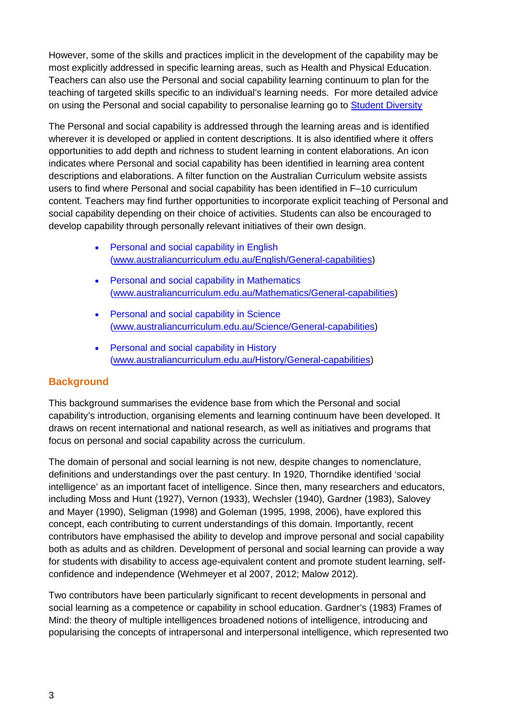However, some of the skills and practices implicit in the development of the capability may be most explicitly addressed in specific learning areas, such as Health and Physical Education. Teachers can also use the Personal and social capability learning continuum to plan for the teaching of targeted skills specific to an individual's learning needs. For more detailed advice on using the Personal and social capability to personalise learning go to [Student Diversity](http://www.australiancurriculum.edu.au/StudentDiversity/Overview)

The Personal and social capability is addressed through the learning areas and is identified wherever it is developed or applied in content descriptions. It is also identified where it offers opportunities to add depth and richness to student learning in content elaborations. An icon indicates where Personal and social capability has been identified in learning area content descriptions and elaborations. A filter function on the Australian Curriculum website assists users to find where Personal and social capability has been identified in F–10 curriculum content. Teachers may find further opportunities to incorporate explicit teaching of Personal and social capability depending on their choice of activities. Students can also be encouraged to develop capability through personally relevant initiatives of their own design.

- [Personal and social capability in English](http://www.australiancurriculum.edu.au/English/General-capabilities#Critical-and-creative-thinking) [\(www.australiancurriculum.edu.au/English/General-capabilities\)](http://www.australiancurriculum.edu.au/English/General-capabilities)
- Personal and social capability in Mathematics [\(www.australiancurriculum.edu.au/Mathematics/General-capabilities\)](http://www.australiancurriculum.edu.au/Mathematics/General-capabilities)
- Personal and social capability in Science [\(www.australiancurriculum.edu.au/Science/General-capabilities\)](http://www.australiancurriculum.edu.au/Science/General-capabilities)
- [Personal and social capability in History](http://www.australiancurriculum.edu.au/History/General-capabilities#Critical-and-creative-thinking) [\(www.australiancurriculum.edu.au/History/General-capabilities\)](http://www.australiancurriculum.edu.au/History/General-capabilities)

#### **Background**

This background summarises the evidence base from which the Personal and social capability's introduction, organising elements and learning continuum have been developed. It draws on recent international and national research, as well as initiatives and programs that focus on personal and social capability across the curriculum.

The domain of personal and social learning is not new, despite changes to nomenclature, definitions and understandings over the past century. In 1920, Thorndike identified 'social intelligence' as an important facet of intelligence. Since then, many researchers and educators, including Moss and Hunt (1927), Vernon (1933), Wechsler (1940), Gardner (1983), Salovey and Mayer (1990), Seligman (1998) and Goleman (1995, 1998, 2006), have explored this concept, each contributing to current understandings of this domain. Importantly, recent contributors have emphasised the ability to develop and improve personal and social capability both as adults and as children. Development of personal and social learning can provide a way for students with disability to access age-equivalent content and promote student learning, selfconfidence and independence (Wehmeyer et al 2007, 2012; Malow 2012).

Two contributors have been particularly significant to recent developments in personal and social learning as a competence or capability in school education. Gardner's (1983) Frames of Mind: the theory of multiple intelligences broadened notions of intelligence, introducing and popularising the concepts of intrapersonal and interpersonal intelligence, which represented two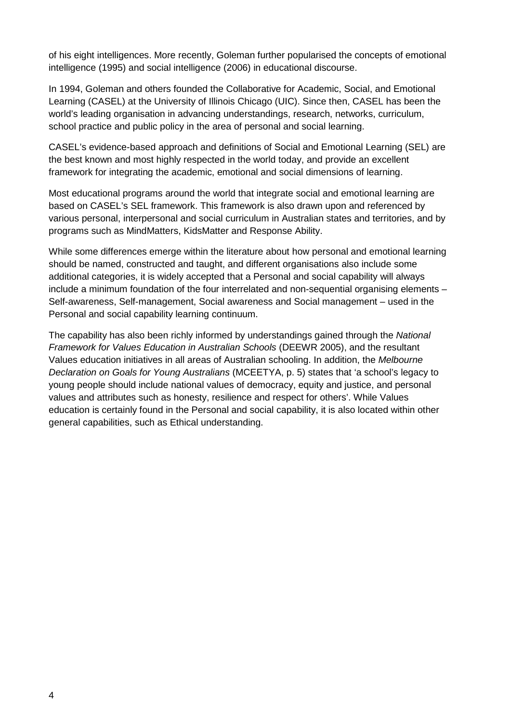of his eight intelligences. More recently, Goleman further popularised the concepts of emotional intelligence (1995) and social intelligence (2006) in educational discourse.

In 1994, Goleman and others founded the Collaborative for Academic, Social, and Emotional Learning (CASEL) at the University of Illinois Chicago (UIC). Since then, CASEL has been the world's leading organisation in advancing understandings, research, networks, curriculum, school practice and public policy in the area of personal and social learning.

CASEL's evidence-based approach and definitions of Social and Emotional Learning (SEL) are the best known and most highly respected in the world today, and provide an excellent framework for integrating the academic, emotional and social dimensions of learning.

Most educational programs around the world that integrate social and emotional learning are based on CASEL's SEL framework. This framework is also drawn upon and referenced by various personal, interpersonal and social curriculum in Australian states and territories, and by programs such as MindMatters, KidsMatter and Response Ability.

While some differences emerge within the literature about how personal and emotional learning should be named, constructed and taught, and different organisations also include some additional categories, it is widely accepted that a Personal and social capability will always include a minimum foundation of the four interrelated and non-sequential organising elements – Self-awareness, Self-management, Social awareness and Social management – used in the Personal and social capability learning continuum.

The capability has also been richly informed by understandings gained through the *National Framework for Values Education in Australian Schools* (DEEWR 2005), and the resultant Values education initiatives in all areas of Australian schooling. In addition, the *Melbourne Declaration on Goals for Young Australians* (MCEETYA, p. 5) states that 'a school's legacy to young people should include national values of democracy, equity and justice, and personal values and attributes such as honesty, resilience and respect for others'. While Values education is certainly found in the Personal and social capability, it is also located within other general capabilities, such as Ethical understanding.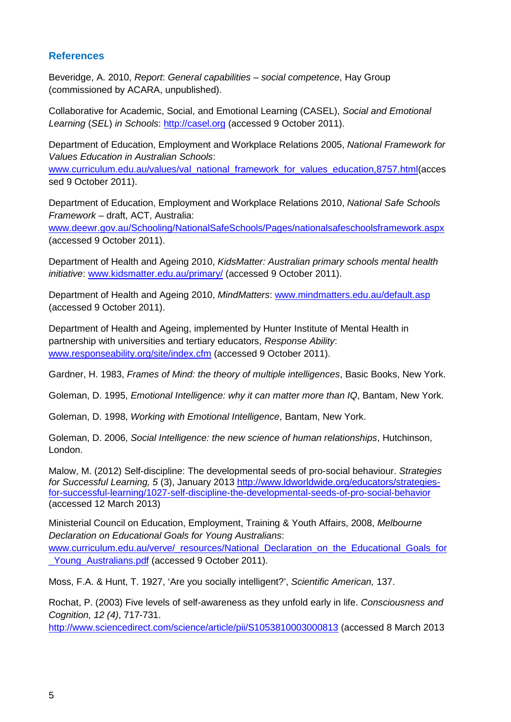#### **References**

Beveridge, A. 2010, *Report*: *General capabilities – social competence*, Hay Group (commissioned by ACARA, unpublished).

Collaborative for Academic, Social, and Emotional Learning (CASEL), *Social and Emotional Learning* (*SEL*) *in Schools*: [http://casel.org](http://www.casel.org/) (accessed 9 October 2011).

Department of Education, Employment and Workplace Relations 2005, *National Framework for Values Education in Australian Schools*:

[www.curriculum.edu.au/values/val\\_national\\_framework\\_for\\_values\\_education,8757.html\(](http://www.curriculum.edu.au/values/val_national_framework_for_values_education,8757.html)acces sed 9 October 2011).

Department of Education, Employment and Workplace Relations 2010, *National Safe Schools Framework* – draft, ACT, Australia:

[www.deewr.gov.au/Schooling/NationalSafeSchools/Pages/nationalsafeschoolsframework.aspx](http://www.deewr.gov.au/Schooling/NationalSafeSchools/Pages/nationalsafeschoolsframework.aspx) (accessed 9 October 2011).

Department of Health and Ageing 2010, *KidsMatter: Australian primary schools mental health initiative*: [www.kidsmatter.edu.au/primary/](http://www.kidsmatter.edu.au/primary/) (accessed 9 October 2011).

Department of Health and Ageing 2010, *MindMatters*: [www.mindmatters.edu.au/default.asp](http://www.mindmatters.edu.au/default.asp) (accessed 9 October 2011).

Department of Health and Ageing, implemented by Hunter Institute of Mental Health in partnership with universities and tertiary educators, *Response Ability*: [www.responseability.org/site/index.cfm](http://www.responseability.org/site/index.cfm) (accessed 9 October 2011).

Gardner, H. 1983, *Frames of Mind: the theory of multiple intelligences*, Basic Books, New York.

Goleman, D. 1995, *Emotional Intelligence: why it can matter more than IQ*, Bantam, New York.

Goleman, D. 1998, *Working with Emotional Intelligence*, Bantam, New York.

Goleman, D. 2006, *Social Intelligence: the new science of human relationships*, Hutchinson, London.

Malow, M. (2012) Self-discipline: The developmental seeds of pro-social behaviour. *Strategies for Successful Learning, 5* (3), January 2013 [http://www.ldworldwide.org/educators/strategies](http://www.ldworldwide.org/educators/strategies-for-successful-learning/1027-self-discipline-the-developmental-seeds-of-pro-social-behavior)[for-successful-learning/1027-self-discipline-the-developmental-seeds-of-pro-social-behavior](http://www.ldworldwide.org/educators/strategies-for-successful-learning/1027-self-discipline-the-developmental-seeds-of-pro-social-behavior) (accessed 12 March 2013)

Ministerial Council on Education, Employment, Training & Youth Affairs, 2008, *Melbourne Declaration on Educational Goals for Young Australians*:

[www.curriculum.edu.au/verve/\\_resources/National\\_Declaration\\_on\\_the\\_Educational\\_Goals\\_for](http://www.curriculum.edu.au/verve/_resources/National_Declaration_on_the_Educational_Goals_for_Young_Australians.pdf) Young Australians.pdf (accessed 9 October 2011).

Moss, F.A. & Hunt, T. 1927, 'Are you socially intelligent?', *Scientific American,* 137.

Rochat, P. (2003) Five levels of self-awareness as they unfold early in life. *Consciousness and Cognition, 12 (4)*, 717-731.

<http://www.sciencedirect.com/science/article/pii/S1053810003000813> (accessed 8 March 2013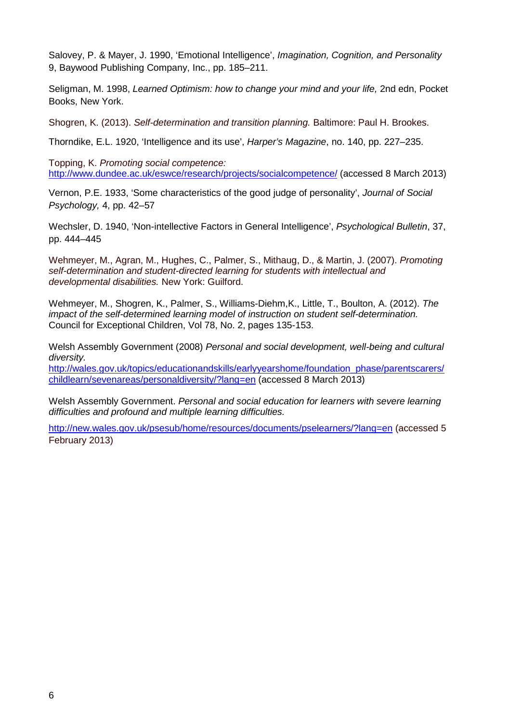Salovey, P. & Mayer, J. 1990, 'Emotional Intelligence', *Imagination, Cognition, and Personality* 9, Baywood Publishing Company, Inc., pp. 185–211.

Seligman, M. 1998, *Learned Optimism: how to change your mind and your life,* 2nd edn, Pocket Books, New York.

Shogren, K. (2013). *Self-determination and transition planning.* Baltimore: Paul H. Brookes.

Thorndike, E.L. 1920, 'Intelligence and its use', *Harper's Magazine*, no. 140, pp. 227–235.

Topping, K. *Promoting social competence:*  <http://www.dundee.ac.uk/eswce/research/projects/socialcompetence/> (accessed 8 March 2013)

Vernon, P.E. 1933, 'Some characteristics of the good judge of personality', *Journal of Social Psychology,* 4, pp. 42–57

Wechsler, D. 1940, 'Non-intellective Factors in General Intelligence', *Psychological Bulletin*, 37, pp. 444–445

Wehmeyer, M., Agran, M., Hughes, C., Palmer, S., Mithaug, D., & Martin, J. (2007). *Promoting self-determination and student-directed learning for students with intellectual and developmental disabilities.* New York: Guilford.

Wehmeyer, M., Shogren, K., Palmer, S., Williams-Diehm,K., Little, T., Boulton, A. (2012). *The impact of the self-determined learning model of instruction on student self-determination.* Council for Exceptional Children, Vol 78, No. 2, pages 135-153.

Welsh Assembly Government (2008) *Personal and social development, well-being and cultural diversity.*

[http://wales.gov.uk/topics/educationandskills/earlyyearshome/foundation\\_phase/parentscarers/](http://wales.gov.uk/topics/educationandskills/earlyyearshome/foundation_phase/parentscarers/childlearn/sevenareas/personaldiversity/?lang=en) [childlearn/sevenareas/personaldiversity/?lang=en](http://wales.gov.uk/topics/educationandskills/earlyyearshome/foundation_phase/parentscarers/childlearn/sevenareas/personaldiversity/?lang=en) (accessed 8 March 2013)

Welsh Assembly Government. *Personal and social education for learners with severe learning difficulties and profound and multiple learning difficulties.*

<http://new.wales.gov.uk/psesub/home/resources/documents/pselearners/?lang=en> (accessed 5 February 2013)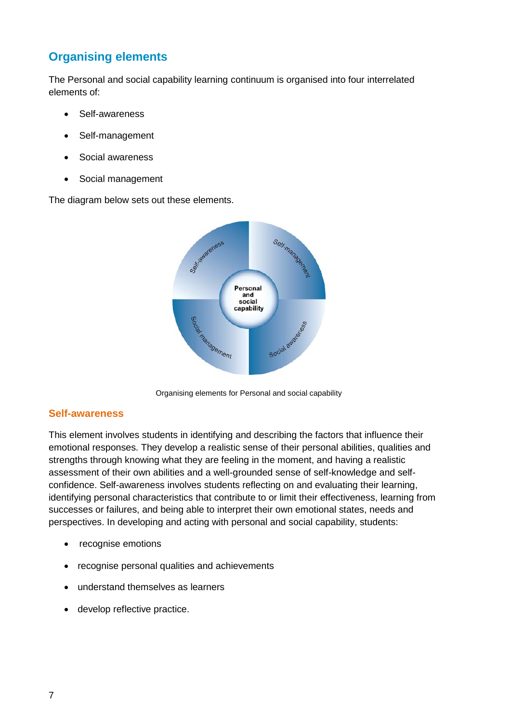# **Organising elements**

The Personal and social capability learning continuum is organised into four interrelated elements of:

- Self-awareness
- Self-management
- Social awareness
- Social management

The diagram below sets out these elements.



Organising elements for Personal and social capability

#### **Self-awareness**

This element involves students in identifying and describing the factors that influence their emotional responses. They develop a realistic sense of their personal abilities, qualities and strengths through knowing what they are feeling in the moment, and having a realistic assessment of their own abilities and a well-grounded sense of self-knowledge and selfconfidence. Self-awareness involves students reflecting on and evaluating their learning, identifying personal characteristics that contribute to or limit their effectiveness, learning from successes or failures, and being able to interpret their own emotional states, needs and perspectives. In developing and acting with personal and social capability, students:

- recognise emotions
- recognise personal qualities and achievements
- understand themselves as learners
- develop reflective practice.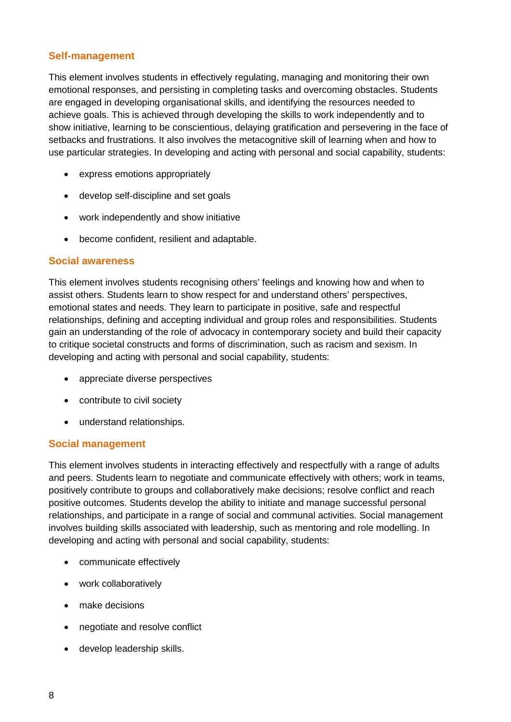#### **Self-management**

This element involves students in effectively regulating, managing and monitoring their own emotional responses, and persisting in completing tasks and overcoming obstacles. Students are engaged in developing organisational skills, and identifying the resources needed to achieve goals. This is achieved through developing the skills to work independently and to show initiative, learning to be conscientious, delaying gratification and persevering in the face of setbacks and frustrations. It also involves the metacognitive skill of learning when and how to use particular strategies. In developing and acting with personal and social capability, students:

- express emotions appropriately
- develop self-discipline and set goals
- work independently and show initiative
- become confident, resilient and adaptable.

#### **Social awareness**

This element involves students recognising others' feelings and knowing how and when to assist others. Students learn to show respect for and understand others' perspectives, emotional states and needs. They learn to participate in positive, safe and respectful relationships, defining and accepting individual and group roles and responsibilities. Students gain an understanding of the role of advocacy in contemporary society and build their capacity to critique societal constructs and forms of discrimination, such as racism and sexism. In developing and acting with personal and social capability, students:

- appreciate diverse perspectives
- contribute to civil society
- understand relationships.

#### **Social management**

This element involves students in interacting effectively and respectfully with a range of adults and peers. Students learn to negotiate and communicate effectively with others; work in teams, positively contribute to groups and collaboratively make decisions; resolve conflict and reach positive outcomes. Students develop the ability to initiate and manage successful personal relationships, and participate in a range of social and communal activities. Social management involves building skills associated with leadership, such as mentoring and role modelling. In developing and acting with personal and social capability, students:

- communicate effectively
- work collaboratively
- make decisions
- negotiate and resolve conflict
- develop leadership skills.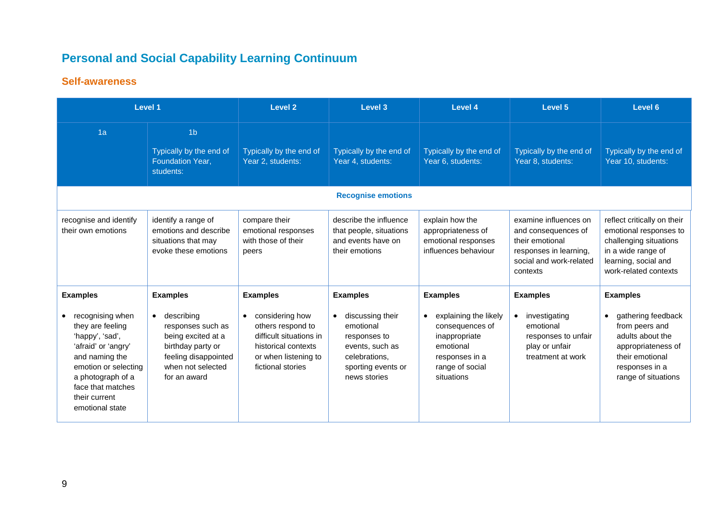# **Personal and Social Capability Learning Continuum**

#### **Self-awareness**

| <b>Level 1</b>                                                                                                                                                                                                            |                                                                                                                                                                         | <b>Level 2</b>                                                                                                                                                      | Level 3                                                                                                                                    | <b>Level 4</b>                                                                                                                                            | Level 5                                                                                                                          | <b>Level 6</b>                                                                                                                                                |  |  |
|---------------------------------------------------------------------------------------------------------------------------------------------------------------------------------------------------------------------------|-------------------------------------------------------------------------------------------------------------------------------------------------------------------------|---------------------------------------------------------------------------------------------------------------------------------------------------------------------|--------------------------------------------------------------------------------------------------------------------------------------------|-----------------------------------------------------------------------------------------------------------------------------------------------------------|----------------------------------------------------------------------------------------------------------------------------------|---------------------------------------------------------------------------------------------------------------------------------------------------------------|--|--|
| 1a                                                                                                                                                                                                                        | 1 <sub>b</sub><br>Typically by the end of<br>Foundation Year,<br>students:                                                                                              | Typically by the end of<br>Year 2, students:                                                                                                                        | Typically by the end of<br>Year 4, students:                                                                                               | Typically by the end of<br>Year 6, students:                                                                                                              | Typically by the end of<br>Year 8, students:                                                                                     | Typically by the end of<br>Year 10, students:                                                                                                                 |  |  |
| <b>Recognise emotions</b>                                                                                                                                                                                                 |                                                                                                                                                                         |                                                                                                                                                                     |                                                                                                                                            |                                                                                                                                                           |                                                                                                                                  |                                                                                                                                                               |  |  |
| recognise and identify<br>their own emotions                                                                                                                                                                              | identify a range of<br>emotions and describe<br>situations that may<br>evoke these emotions                                                                             | compare their<br>emotional responses<br>with those of their<br>peers                                                                                                | describe the influence<br>that people, situations<br>and events have on<br>their emotions                                                  | explain how the<br>appropriateness of<br>emotional responses<br>influences behaviour                                                                      | examine influences on<br>and consequences of<br>their emotional<br>responses in learning,<br>social and work-related<br>contexts | reflect critically on their<br>emotional responses to<br>challenging situations<br>in a wide range of<br>learning, social and<br>work-related contexts        |  |  |
| <b>Examples</b><br>recognising when<br>they are feeling<br>'happy', 'sad',<br>'afraid' or 'angry'<br>and naming the<br>emotion or selecting<br>a photograph of a<br>face that matches<br>their current<br>emotional state | <b>Examples</b><br>describing<br>$\bullet$<br>responses such as<br>being excited at a<br>birthday party or<br>feeling disappointed<br>when not selected<br>for an award | <b>Examples</b><br>considering how<br>$\bullet$<br>others respond to<br>difficult situations in<br>historical contexts<br>or when listening to<br>fictional stories | <b>Examples</b><br>discussing their<br>emotional<br>responses to<br>events, such as<br>celebrations,<br>sporting events or<br>news stories | <b>Examples</b><br>explaining the likely<br>$\bullet$<br>consequences of<br>inappropriate<br>emotional<br>responses in a<br>range of social<br>situations | <b>Examples</b><br>investigating<br>$\bullet$<br>emotional<br>responses to unfair<br>play or unfair<br>treatment at work         | <b>Examples</b><br>gathering feedback<br>from peers and<br>adults about the<br>appropriateness of<br>their emotional<br>responses in a<br>range of situations |  |  |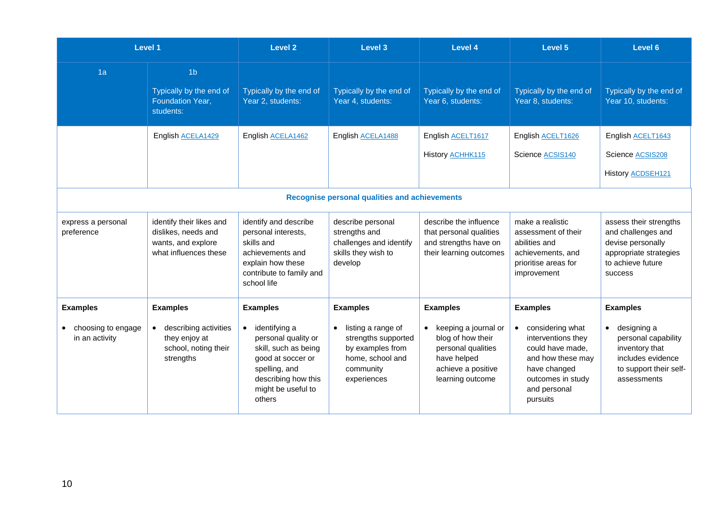|                                                         | Level 1                                                                                        | <b>Level 2</b>                                                                                                                                                                            | <b>Level 3</b>                                                                                                                     | Level 4                                                                                                                                     | Level 5                                                                                                                                                             | Level 6                                                                                                                               |  |  |  |
|---------------------------------------------------------|------------------------------------------------------------------------------------------------|-------------------------------------------------------------------------------------------------------------------------------------------------------------------------------------------|------------------------------------------------------------------------------------------------------------------------------------|---------------------------------------------------------------------------------------------------------------------------------------------|---------------------------------------------------------------------------------------------------------------------------------------------------------------------|---------------------------------------------------------------------------------------------------------------------------------------|--|--|--|
| 1a                                                      | 1 <sub>b</sub><br>Typically by the end of<br>Foundation Year,<br>students:                     | Typically by the end of<br>Year 2, students:                                                                                                                                              | Typically by the end of<br>Year 4, students:                                                                                       | Typically by the end of<br>Year 6, students:                                                                                                | Typically by the end of<br>Year 8, students:                                                                                                                        | Typically by the end of<br>Year 10, students:                                                                                         |  |  |  |
|                                                         | English ACELA1429                                                                              | English ACELA1462                                                                                                                                                                         | English ACELA1488                                                                                                                  | English ACELT1617<br>History <b>ACHHK115</b>                                                                                                | English ACELT1626<br>Science ACSIS140                                                                                                                               | English ACELT1643<br>Science ACSIS208<br>History <b>ACDSEH121</b>                                                                     |  |  |  |
|                                                         | <b>Recognise personal qualities and achievements</b>                                           |                                                                                                                                                                                           |                                                                                                                                    |                                                                                                                                             |                                                                                                                                                                     |                                                                                                                                       |  |  |  |
| express a personal<br>preference                        | identify their likes and<br>dislikes, needs and<br>wants, and explore<br>what influences these | identify and describe<br>personal interests,<br>skills and<br>achievements and<br>explain how these<br>contribute to family and<br>school life                                            | describe personal<br>strengths and<br>challenges and identify<br>skills they wish to<br>develop                                    | describe the influence<br>that personal qualities<br>and strengths have on<br>their learning outcomes                                       | make a realistic<br>assessment of their<br>abilities and<br>achievements, and<br>prioritise areas for<br>improvement                                                | assess their strengths<br>and challenges and<br>devise personally<br>appropriate strategies<br>to achieve future<br>success           |  |  |  |
| <b>Examples</b><br>choosing to engage<br>in an activity | <b>Examples</b><br>describing activities<br>they enjoy at<br>school, noting their<br>strengths | <b>Examples</b><br>identifying a<br>$\bullet$<br>personal quality or<br>skill, such as being<br>good at soccer or<br>spelling, and<br>describing how this<br>might be useful to<br>others | <b>Examples</b><br>• listing a range of<br>strengths supported<br>by examples from<br>home, school and<br>community<br>experiences | <b>Examples</b><br>keeping a journal or<br>blog of how their<br>personal qualities<br>have helped<br>achieve a positive<br>learning outcome | <b>Examples</b><br>considering what<br>interventions they<br>could have made,<br>and how these may<br>have changed<br>outcomes in study<br>and personal<br>pursuits | <b>Examples</b><br>designing a<br>personal capability<br>inventory that<br>includes evidence<br>to support their self-<br>assessments |  |  |  |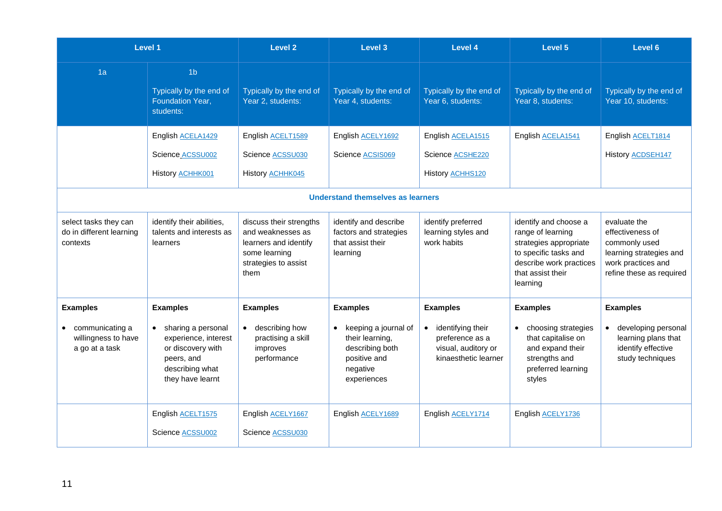|                                                                               | Level 1                                                                                                                                 | Level 2                                                                                                                | Level 3                                                                                                                    | Level 4                                                                                                | Level 5                                                                                                                                                   | Level 6                                                                                                                        |  |  |
|-------------------------------------------------------------------------------|-----------------------------------------------------------------------------------------------------------------------------------------|------------------------------------------------------------------------------------------------------------------------|----------------------------------------------------------------------------------------------------------------------------|--------------------------------------------------------------------------------------------------------|-----------------------------------------------------------------------------------------------------------------------------------------------------------|--------------------------------------------------------------------------------------------------------------------------------|--|--|
| 1a                                                                            | 1 <sub>b</sub><br>Typically by the end of<br>Foundation Year,<br>students:                                                              | Typically by the end of<br>Year 2, students:                                                                           | Typically by the end of<br>Year 4, students:                                                                               | Typically by the end of<br>Year 6, students:                                                           | Typically by the end of<br>Year 8, students:                                                                                                              | Typically by the end of<br>Year 10, students:                                                                                  |  |  |
|                                                                               | English ACELA1429                                                                                                                       | English ACELT1589                                                                                                      | English ACELY1692                                                                                                          | English ACELA1515                                                                                      | English ACELA1541                                                                                                                                         | English ACELT1814                                                                                                              |  |  |
|                                                                               | Science ACSSU002                                                                                                                        | Science ACSSU030                                                                                                       | Science ACSIS069                                                                                                           | Science <b>ACSHE220</b>                                                                                |                                                                                                                                                           | History <b>ACDSEH147</b>                                                                                                       |  |  |
|                                                                               | History <b>ACHHK001</b>                                                                                                                 | History <b>ACHHK045</b>                                                                                                |                                                                                                                            | History <b>ACHHS120</b>                                                                                |                                                                                                                                                           |                                                                                                                                |  |  |
| <b>Understand themselves as learners</b>                                      |                                                                                                                                         |                                                                                                                        |                                                                                                                            |                                                                                                        |                                                                                                                                                           |                                                                                                                                |  |  |
| select tasks they can<br>do in different learning<br>contexts                 | identify their abilities,<br>talents and interests as<br>learners                                                                       | discuss their strengths<br>and weaknesses as<br>learners and identify<br>some learning<br>strategies to assist<br>them | identify and describe<br>factors and strategies<br>that assist their<br>learning                                           | identify preferred<br>learning styles and<br>work habits                                               | identify and choose a<br>range of learning<br>strategies appropriate<br>to specific tasks and<br>describe work practices<br>that assist their<br>learning | evaluate the<br>effectiveness of<br>commonly used<br>learning strategies and<br>work practices and<br>refine these as required |  |  |
| <b>Examples</b><br>• communicating a<br>willingness to have<br>a go at a task | <b>Examples</b><br>sharing a personal<br>experience, interest<br>or discovery with<br>peers, and<br>describing what<br>they have learnt | <b>Examples</b><br>describing how<br>practising a skill<br>improves<br>performance                                     | <b>Examples</b><br>• keeping a journal of<br>their learning,<br>describing both<br>positive and<br>negative<br>experiences | <b>Examples</b><br>identifying their<br>preference as a<br>visual, auditory or<br>kinaesthetic learner | <b>Examples</b><br>• choosing strategies<br>that capitalise on<br>and expand their<br>strengths and<br>preferred learning<br>styles                       | <b>Examples</b><br>developing personal<br>learning plans that<br>identify effective<br>study techniques                        |  |  |
|                                                                               | English ACELT1575<br>Science ACSSU002                                                                                                   | English ACELY1667<br>Science ACSSU030                                                                                  | English ACELY1689                                                                                                          | English ACELY1714                                                                                      | English ACELY1736                                                                                                                                         |                                                                                                                                |  |  |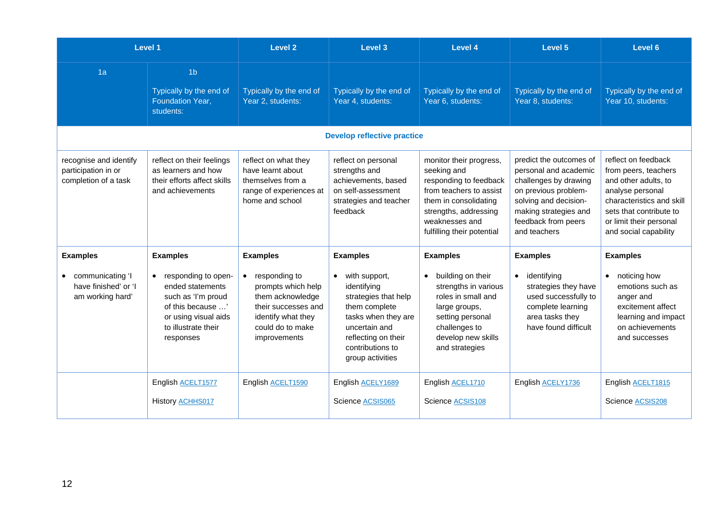|                                                                                 | Level 1                                                                                                                                                           | <b>Level 2</b>                                                                                                                                                           | <b>Level 3</b>                                                                                                                                                                                    | <b>Level 4</b>                                                                                                                                                                                | Level 5                                                                                                                                                                                    | Level 6                                                                                                                                                                                             |  |  |  |
|---------------------------------------------------------------------------------|-------------------------------------------------------------------------------------------------------------------------------------------------------------------|--------------------------------------------------------------------------------------------------------------------------------------------------------------------------|---------------------------------------------------------------------------------------------------------------------------------------------------------------------------------------------------|-----------------------------------------------------------------------------------------------------------------------------------------------------------------------------------------------|--------------------------------------------------------------------------------------------------------------------------------------------------------------------------------------------|-----------------------------------------------------------------------------------------------------------------------------------------------------------------------------------------------------|--|--|--|
| 1a                                                                              | 1 <sub>b</sub><br>Typically by the end of<br>Foundation Year,<br>students:                                                                                        | Typically by the end of<br>Year 2, students:                                                                                                                             | Typically by the end of<br>Year 4, students:                                                                                                                                                      | Typically by the end of<br>Year 6, students:                                                                                                                                                  | Typically by the end of<br>Year 8, students:                                                                                                                                               | Typically by the end of<br>Year 10, students:                                                                                                                                                       |  |  |  |
|                                                                                 | <b>Develop reflective practice</b>                                                                                                                                |                                                                                                                                                                          |                                                                                                                                                                                                   |                                                                                                                                                                                               |                                                                                                                                                                                            |                                                                                                                                                                                                     |  |  |  |
| recognise and identify<br>participation in or<br>completion of a task           | reflect on their feelings<br>as learners and how<br>their efforts affect skills<br>and achievements                                                               | reflect on what they<br>have learnt about<br>themselves from a<br>range of experiences at<br>home and school                                                             | reflect on personal<br>strengths and<br>achievements, based<br>on self-assessment<br>strategies and teacher<br>feedback                                                                           | monitor their progress,<br>seeking and<br>responding to feedback<br>from teachers to assist<br>them in consolidating<br>strengths, addressing<br>weaknesses and<br>fulfilling their potential | predict the outcomes of<br>personal and academic<br>challenges by drawing<br>on previous problem-<br>solving and decision-<br>making strategies and<br>feedback from peers<br>and teachers | reflect on feedback<br>from peers, teachers<br>and other adults, to<br>analyse personal<br>characteristics and skill<br>sets that contribute to<br>or limit their personal<br>and social capability |  |  |  |
| <b>Examples</b><br>communicating 'I<br>have finished' or 'I<br>am working hard' | <b>Examples</b><br>responding to open-<br>ended statements<br>such as 'I'm proud<br>of this because '<br>or using visual aids<br>to illustrate their<br>responses | <b>Examples</b><br>responding to<br>$\bullet$<br>prompts which help<br>them acknowledge<br>their successes and<br>identify what they<br>could do to make<br>improvements | <b>Examples</b><br>• with support,<br>identifying<br>strategies that help<br>them complete<br>tasks when they are<br>uncertain and<br>reflecting on their<br>contributions to<br>group activities | <b>Examples</b><br>building on their<br>strengths in various<br>roles in small and<br>large groups,<br>setting personal<br>challenges to<br>develop new skills<br>and strategies              | <b>Examples</b><br>identifying<br>$\bullet$<br>strategies they have<br>used successfully to<br>complete learning<br>area tasks they<br>have found difficult                                | <b>Examples</b><br>noticing how<br>$\bullet$<br>emotions such as<br>anger and<br>excitement affect<br>learning and impact<br>on achievements<br>and successes                                       |  |  |  |
|                                                                                 | English ACELT1577<br>History <b>ACHHS017</b>                                                                                                                      | English ACELT1590                                                                                                                                                        | English ACELY1689<br>Science ACSIS065                                                                                                                                                             | English ACEL1710<br>Science ACSIS108                                                                                                                                                          | English ACELY1736                                                                                                                                                                          | English ACELT1815<br>Science ACSIS208                                                                                                                                                               |  |  |  |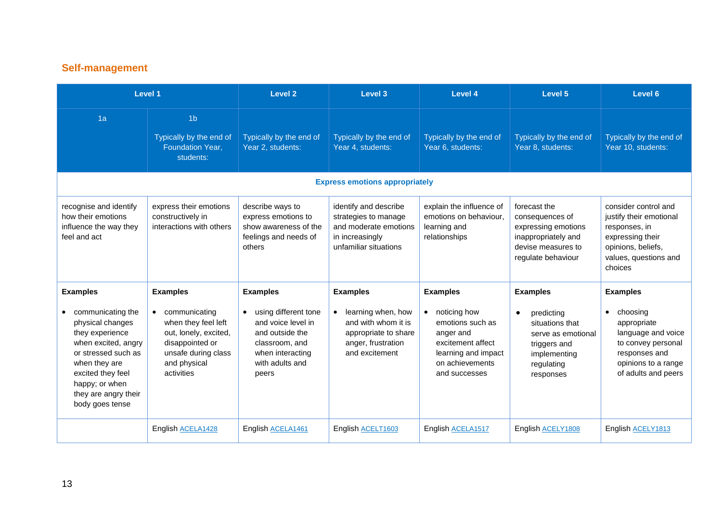### **Self-management**

|                                                                                                                                                                                                                              | Level 1                                                                                                                                                  | Level 2                                                                                                                                                         | Level 3                                                                                                                      | Level 4                                                                                                                                          | Level 5                                                                                                                                        | Level 6                                                                                                                                                            |
|------------------------------------------------------------------------------------------------------------------------------------------------------------------------------------------------------------------------------|----------------------------------------------------------------------------------------------------------------------------------------------------------|-----------------------------------------------------------------------------------------------------------------------------------------------------------------|------------------------------------------------------------------------------------------------------------------------------|--------------------------------------------------------------------------------------------------------------------------------------------------|------------------------------------------------------------------------------------------------------------------------------------------------|--------------------------------------------------------------------------------------------------------------------------------------------------------------------|
| 1a                                                                                                                                                                                                                           | 1 <sub>b</sub><br>Typically by the end of<br>Foundation Year,<br>students:                                                                               | Typically by the end of<br>Year 2, students:                                                                                                                    | Typically by the end of<br>Year 4, students:                                                                                 | Typically by the end of<br>Year 6, students:                                                                                                     | Typically by the end of<br>Year 8, students:                                                                                                   | Typically by the end of<br>Year 10, students:                                                                                                                      |
|                                                                                                                                                                                                                              |                                                                                                                                                          |                                                                                                                                                                 | <b>Express emotions appropriately</b>                                                                                        |                                                                                                                                                  |                                                                                                                                                |                                                                                                                                                                    |
| recognise and identify<br>how their emotions<br>influence the way they<br>feel and act                                                                                                                                       | express their emotions<br>constructively in<br>interactions with others                                                                                  | describe ways to<br>express emotions to<br>show awareness of the<br>feelings and needs of<br>others                                                             | identify and describe<br>strategies to manage<br>and moderate emotions<br>in increasingly<br>unfamiliar situations           | explain the influence of<br>emotions on behaviour.<br>learning and<br>relationships                                                              | forecast the<br>consequences of<br>expressing emotions<br>inappropriately and<br>devise measures to<br>regulate behaviour                      | consider control and<br>justify their emotional<br>responses, in<br>expressing their<br>opinions, beliefs,<br>values, questions and<br>choices                     |
| <b>Examples</b><br>communicating the<br>physical changes<br>they experience<br>when excited, angry<br>or stressed such as<br>when they are<br>excited they feel<br>happy; or when<br>they are angry their<br>body goes tense | <b>Examples</b><br>communicating<br>when they feel left<br>out, lonely, excited,<br>disappointed or<br>unsafe during class<br>and physical<br>activities | <b>Examples</b><br>using different tone<br>$\bullet$<br>and voice level in<br>and outside the<br>classroom, and<br>when interacting<br>with adults and<br>peers | <b>Examples</b><br>learning when, how<br>and with whom it is<br>appropriate to share<br>anger, frustration<br>and excitement | <b>Examples</b><br>noticing how<br>emotions such as<br>anger and<br>excitement affect<br>learning and impact<br>on achievements<br>and successes | <b>Examples</b><br>predicting<br>$\bullet$<br>situations that<br>serve as emotional<br>triggers and<br>implementing<br>regulating<br>responses | <b>Examples</b><br>choosing<br>$\bullet$<br>appropriate<br>language and voice<br>to convey personal<br>responses and<br>opinions to a range<br>of adults and peers |
|                                                                                                                                                                                                                              | English ACELA1428                                                                                                                                        | English ACELA1461                                                                                                                                               | English ACELT1603                                                                                                            | English ACELA1517                                                                                                                                | English ACELY1808                                                                                                                              | English ACELY1813                                                                                                                                                  |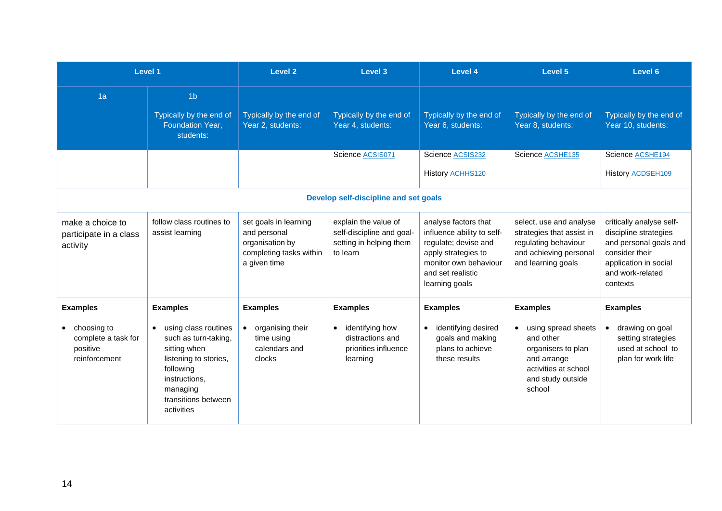|                                                                                    | Level 1                                                                                                                                                                                              | <b>Level 2</b>                                                                                      | <b>Level 3</b>                                                                               | <b>Level 4</b>                                                                                                                                                    | Level 5                                                                                                                                           | Level 6                                                                                                                                                |  |  |
|------------------------------------------------------------------------------------|------------------------------------------------------------------------------------------------------------------------------------------------------------------------------------------------------|-----------------------------------------------------------------------------------------------------|----------------------------------------------------------------------------------------------|-------------------------------------------------------------------------------------------------------------------------------------------------------------------|---------------------------------------------------------------------------------------------------------------------------------------------------|--------------------------------------------------------------------------------------------------------------------------------------------------------|--|--|
| 1a                                                                                 | 1 <sub>b</sub><br>Typically by the end of<br>Foundation Year,<br>students:                                                                                                                           | Typically by the end of<br>Year 2, students:                                                        | Typically by the end of<br>Year 4, students:                                                 | Typically by the end of<br>Year 6, students:                                                                                                                      | Typically by the end of<br>Year 8, students:                                                                                                      | Typically by the end of<br>Year 10, students:                                                                                                          |  |  |
|                                                                                    |                                                                                                                                                                                                      |                                                                                                     | Science ACSIS071                                                                             | Science ACSIS232<br>History <b>ACHHS120</b>                                                                                                                       | Science <b>ACSHE135</b>                                                                                                                           | Science <b>ACSHE194</b><br>History <b>ACDSEH109</b>                                                                                                    |  |  |
|                                                                                    | Develop self-discipline and set goals                                                                                                                                                                |                                                                                                     |                                                                                              |                                                                                                                                                                   |                                                                                                                                                   |                                                                                                                                                        |  |  |
| make a choice to<br>participate in a class<br>activity                             | follow class routines to<br>assist learning                                                                                                                                                          | set goals in learning<br>and personal<br>organisation by<br>completing tasks within<br>a given time | explain the value of<br>self-discipline and goal-<br>setting in helping them<br>to learn     | analyse factors that<br>influence ability to self-<br>regulate; devise and<br>apply strategies to<br>monitor own behaviour<br>and set realistic<br>learning goals | select, use and analyse<br>strategies that assist in<br>regulating behaviour<br>and achieving personal<br>and learning goals                      | critically analyse self-<br>discipline strategies<br>and personal goals and<br>consider their<br>application in social<br>and work-related<br>contexts |  |  |
| <b>Examples</b><br>choosing to<br>complete a task for<br>positive<br>reinforcement | <b>Examples</b><br>using class routines<br>$\bullet$<br>such as turn-taking,<br>sitting when<br>listening to stories,<br>following<br>instructions,<br>managing<br>transitions between<br>activities | <b>Examples</b><br>organising their<br>$\bullet$<br>time using<br>calendars and<br>clocks           | <b>Examples</b><br>• identifying how<br>distractions and<br>priorities influence<br>learning | <b>Examples</b><br>identifying desired<br>goals and making<br>plans to achieve<br>these results                                                                   | <b>Examples</b><br>• using spread sheets<br>and other<br>organisers to plan<br>and arrange<br>activities at school<br>and study outside<br>school | <b>Examples</b><br>drawing on goal<br>$\bullet$<br>setting strategies<br>used at school to<br>plan for work life                                       |  |  |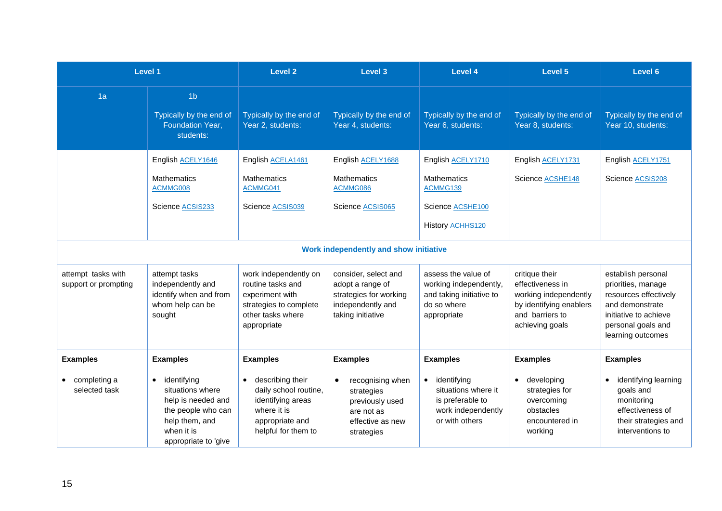| Level 1                                    |                                                                                                                                                  | <b>Level 2</b>                                                                                                                       | <b>Level 3</b>                                                                                                 | Level 4                                                                                                     | Level 5                                                                                                                      | Level 6                                                                                                                                                  |
|--------------------------------------------|--------------------------------------------------------------------------------------------------------------------------------------------------|--------------------------------------------------------------------------------------------------------------------------------------|----------------------------------------------------------------------------------------------------------------|-------------------------------------------------------------------------------------------------------------|------------------------------------------------------------------------------------------------------------------------------|----------------------------------------------------------------------------------------------------------------------------------------------------------|
| 1a                                         | 1 <sub>b</sub><br>Typically by the end of<br>Foundation Year,<br>students:                                                                       | Typically by the end of<br>Year 2, students:                                                                                         | Typically by the end of<br>Year 4, students:                                                                   | Typically by the end of<br>Year 6, students:                                                                | Typically by the end of<br>Year 8, students:                                                                                 | Typically by the end of<br>Year 10, students:                                                                                                            |
|                                            | English ACELY1646<br><b>Mathematics</b><br>ACMMG008                                                                                              | English ACELA1461<br><b>Mathematics</b><br>ACMMG041                                                                                  | English ACELY1688<br><b>Mathematics</b><br>ACMMG086                                                            | English ACELY1710<br><b>Mathematics</b><br>ACMMG139                                                         | English ACELY1731<br>Science <b>ACSHE148</b>                                                                                 | English ACELY1751<br>Science ACSIS208                                                                                                                    |
|                                            | Science ACSIS233                                                                                                                                 | Science ACSIS039                                                                                                                     | Science ACSIS065                                                                                               | Science <b>ACSHE100</b><br>History <b>ACHHS120</b>                                                          |                                                                                                                              |                                                                                                                                                          |
|                                            |                                                                                                                                                  |                                                                                                                                      | Work independently and show initiative                                                                         |                                                                                                             |                                                                                                                              |                                                                                                                                                          |
| attempt tasks with<br>support or prompting | attempt tasks<br>independently and<br>identify when and from<br>whom help can be<br>sought                                                       | work independently on<br>routine tasks and<br>experiment with<br>strategies to complete<br>other tasks where<br>appropriate          | consider, select and<br>adopt a range of<br>strategies for working<br>independently and<br>taking initiative   | assess the value of<br>working independently,<br>and taking initiative to<br>do so where<br>appropriate     | critique their<br>effectiveness in<br>working independently<br>by identifying enablers<br>and barriers to<br>achieving goals | establish personal<br>priorities, manage<br>resources effectively<br>and demonstrate<br>initiative to achieve<br>personal goals and<br>learning outcomes |
| <b>Examples</b>                            | <b>Examples</b>                                                                                                                                  | <b>Examples</b>                                                                                                                      | <b>Examples</b>                                                                                                | <b>Examples</b>                                                                                             | <b>Examples</b>                                                                                                              | <b>Examples</b>                                                                                                                                          |
| completing a<br>selected task              | identifying<br>$\bullet$<br>situations where<br>help is needed and<br>the people who can<br>help them, and<br>when it is<br>appropriate to 'give | describing their<br>$\bullet$<br>daily school routine,<br>identifying areas<br>where it is<br>appropriate and<br>helpful for them to | recognising when<br>$\bullet$<br>strategies<br>previously used<br>are not as<br>effective as new<br>strategies | identifying<br>$\bullet$<br>situations where it<br>is preferable to<br>work independently<br>or with others | developing<br>$\bullet$<br>strategies for<br>overcoming<br>obstacles<br>encountered in<br>working                            | identifying learning<br>goals and<br>monitoring<br>effectiveness of<br>their strategies and<br>interventions to                                          |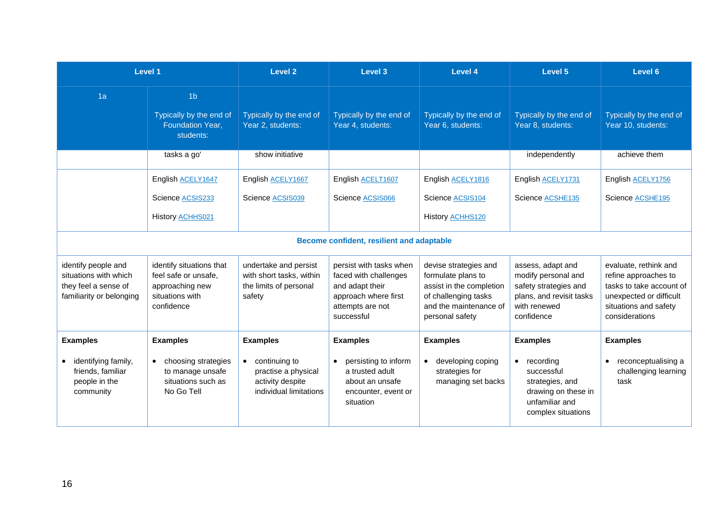|                                                                                                  | Level 1                                                                                              | Level 2                                                                                         | <b>Level 3</b>                                                                                                                | Level 4                                                                                                                                      | Level 5                                                                                                                     | Level 6                                                                                                                                         |
|--------------------------------------------------------------------------------------------------|------------------------------------------------------------------------------------------------------|-------------------------------------------------------------------------------------------------|-------------------------------------------------------------------------------------------------------------------------------|----------------------------------------------------------------------------------------------------------------------------------------------|-----------------------------------------------------------------------------------------------------------------------------|-------------------------------------------------------------------------------------------------------------------------------------------------|
| 1a                                                                                               | 1 <sub>b</sub><br>Typically by the end of<br>Foundation Year,<br>students:                           | Typically by the end of<br>Year 2, students:                                                    | Typically by the end of<br>Year 4, students:                                                                                  | Typically by the end of<br>Year 6, students:                                                                                                 | Typically by the end of<br>Year 8, students:                                                                                | Typically by the end of<br>Year 10, students:                                                                                                   |
|                                                                                                  | tasks a go'                                                                                          | show initiative                                                                                 |                                                                                                                               |                                                                                                                                              | independently                                                                                                               | achieve them                                                                                                                                    |
|                                                                                                  | English ACELY1647                                                                                    | English ACELY1667                                                                               | English ACELT1607                                                                                                             | English ACELY1816                                                                                                                            | English ACELY1731                                                                                                           | English ACELY1756                                                                                                                               |
|                                                                                                  | Science ACSIS233                                                                                     | Science ACSIS039                                                                                | Science ACSIS066                                                                                                              | Science ACSIS104                                                                                                                             | Science <b>ACSHE135</b>                                                                                                     | Science <b>ACSHE195</b>                                                                                                                         |
|                                                                                                  | History <b>ACHHS021</b>                                                                              |                                                                                                 |                                                                                                                               | History <b>ACHHS120</b>                                                                                                                      |                                                                                                                             |                                                                                                                                                 |
|                                                                                                  |                                                                                                      |                                                                                                 | Become confident, resilient and adaptable                                                                                     |                                                                                                                                              |                                                                                                                             |                                                                                                                                                 |
| identify people and<br>situations with which<br>they feel a sense of<br>familiarity or belonging | identify situations that<br>feel safe or unsafe,<br>approaching new<br>situations with<br>confidence | undertake and persist<br>with short tasks, within<br>the limits of personal<br>safety           | persist with tasks when<br>faced with challenges<br>and adapt their<br>approach where first<br>attempts are not<br>successful | devise strategies and<br>formulate plans to<br>assist in the completion<br>of challenging tasks<br>and the maintenance of<br>personal safety | assess, adapt and<br>modify personal and<br>safety strategies and<br>plans, and revisit tasks<br>with renewed<br>confidence | evaluate, rethink and<br>refine approaches to<br>tasks to take account of<br>unexpected or difficult<br>situations and safety<br>considerations |
| <b>Examples</b>                                                                                  | <b>Examples</b>                                                                                      | <b>Examples</b>                                                                                 | <b>Examples</b>                                                                                                               | <b>Examples</b>                                                                                                                              | <b>Examples</b>                                                                                                             | <b>Examples</b>                                                                                                                                 |
| identifying family,<br>friends, familiar<br>people in the<br>community                           | choosing strategies<br>$\bullet$<br>to manage unsafe<br>situations such as<br>No Go Tell             | continuing to<br>$\bullet$<br>practise a physical<br>activity despite<br>individual limitations | persisting to inform<br>a trusted adult<br>about an unsafe<br>encounter, event or<br>situation                                | developing coping<br>$\bullet$<br>strategies for<br>managing set backs                                                                       | • recording<br>successful<br>strategies, and<br>drawing on these in<br>unfamiliar and<br>complex situations                 | reconceptualising a<br>challenging learning<br>task                                                                                             |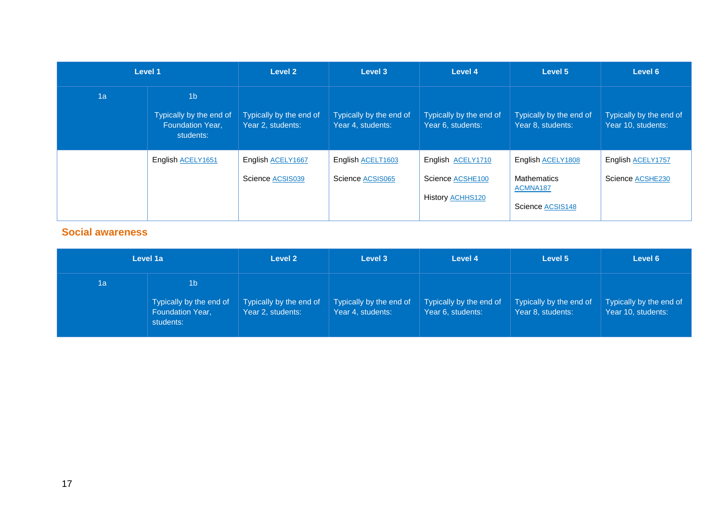| Level 1 |                                                                            | Level 2                                      | Level 3                                      | Level 4                                                                        | Level 5                                                                 | Level 6                                       |
|---------|----------------------------------------------------------------------------|----------------------------------------------|----------------------------------------------|--------------------------------------------------------------------------------|-------------------------------------------------------------------------|-----------------------------------------------|
| 1a      | 1 <sub>b</sub><br>Typically by the end of<br>Foundation Year,<br>students: | Typically by the end of<br>Year 2, students: | Typically by the end of<br>Year 4, students: | Typically by the end of<br>Year 6, students:                                   | Typically by the end of<br>Year 8, students:                            | Typically by the end of<br>Year 10, students: |
|         | English ACELY1651                                                          | English ACELY1667<br>Science ACSIS039        | English ACELT1603<br>Science ACSIS065        | English <b>ACELY1710</b><br>Science <b>ACSHE100</b><br>History <b>ACHHS120</b> | English <b>ACELY1808</b><br>Mathematics<br>ACMNA187<br>Science ACSIS148 | English ACELY1757<br>Science ACSHE230         |

#### **Social awareness**

|    | Level 1a                                                 | Level 2                                      | Level 3                                      | Level 4                                      | Level 5                                      | Level 6                                       |
|----|----------------------------------------------------------|----------------------------------------------|----------------------------------------------|----------------------------------------------|----------------------------------------------|-----------------------------------------------|
| 1a | 1 <sub>b</sub>                                           |                                              |                                              |                                              |                                              |                                               |
|    | Typically by the end of<br>Foundation Year,<br>students: | Typically by the end of<br>Year 2, students: | Typically by the end of<br>Year 4, students: | Typically by the end of<br>Year 6, students: | Typically by the end of<br>Year 8, students: | Typically by the end of<br>Year 10, students: |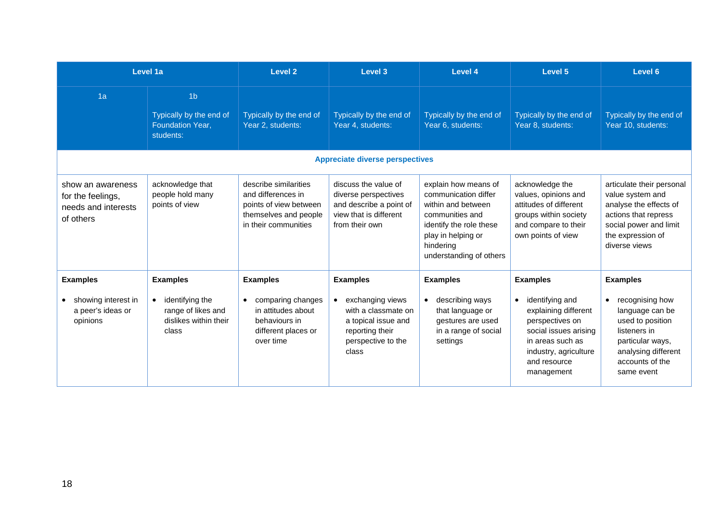|                                                                            | Level 1a                                                                                                | <b>Level 2</b>                                                                                                               | Level 3                                                                                                                                          | Level 4                                                                                                                                                                        | Level 5                                                                                                                                                                                        | Level 6                                                                                                                                                                            |  |  |
|----------------------------------------------------------------------------|---------------------------------------------------------------------------------------------------------|------------------------------------------------------------------------------------------------------------------------------|--------------------------------------------------------------------------------------------------------------------------------------------------|--------------------------------------------------------------------------------------------------------------------------------------------------------------------------------|------------------------------------------------------------------------------------------------------------------------------------------------------------------------------------------------|------------------------------------------------------------------------------------------------------------------------------------------------------------------------------------|--|--|
| 1a                                                                         | 1 <sub>b</sub><br>Typically by the end of<br>Foundation Year,<br>students:                              | Typically by the end of<br>Year 2, students:                                                                                 | Typically by the end of<br>Year 4, students:                                                                                                     | Typically by the end of<br>Year 6, students:                                                                                                                                   | Typically by the end of<br>Year 8, students:                                                                                                                                                   | Typically by the end of<br>Year 10, students:                                                                                                                                      |  |  |
| <b>Appreciate diverse perspectives</b>                                     |                                                                                                         |                                                                                                                              |                                                                                                                                                  |                                                                                                                                                                                |                                                                                                                                                                                                |                                                                                                                                                                                    |  |  |
| show an awareness<br>for the feelings,<br>needs and interests<br>of others | acknowledge that<br>people hold many<br>points of view                                                  | describe similarities<br>and differences in<br>points of view between<br>themselves and people<br>in their communities       | discuss the value of<br>diverse perspectives<br>and describe a point of<br>view that is different<br>from their own                              | explain how means of<br>communication differ<br>within and between<br>communities and<br>identify the role these<br>play in helping or<br>hindering<br>understanding of others | acknowledge the<br>values, opinions and<br>attitudes of different<br>groups within society<br>and compare to their<br>own points of view                                                       | articulate their personal<br>value system and<br>analyse the effects of<br>actions that repress<br>social power and limit<br>the expression of<br>diverse views                    |  |  |
| <b>Examples</b><br>showing interest in<br>a peer's ideas or<br>opinions    | <b>Examples</b><br>identifying the<br>$\bullet$<br>range of likes and<br>dislikes within their<br>class | <b>Examples</b><br>comparing changes<br>$\bullet$<br>in attitudes about<br>behaviours in<br>different places or<br>over time | <b>Examples</b><br>exchanging views<br>$\bullet$<br>with a classmate on<br>a topical issue and<br>reporting their<br>perspective to the<br>class | <b>Examples</b><br>describing ways<br>that language or<br>gestures are used<br>in a range of social<br>settings                                                                | <b>Examples</b><br>identifying and<br>$\bullet$<br>explaining different<br>perspectives on<br>social issues arising<br>in areas such as<br>industry, agriculture<br>and resource<br>management | <b>Examples</b><br>recognising how<br>$\bullet$<br>language can be<br>used to position<br>listeners in<br>particular ways,<br>analysing different<br>accounts of the<br>same event |  |  |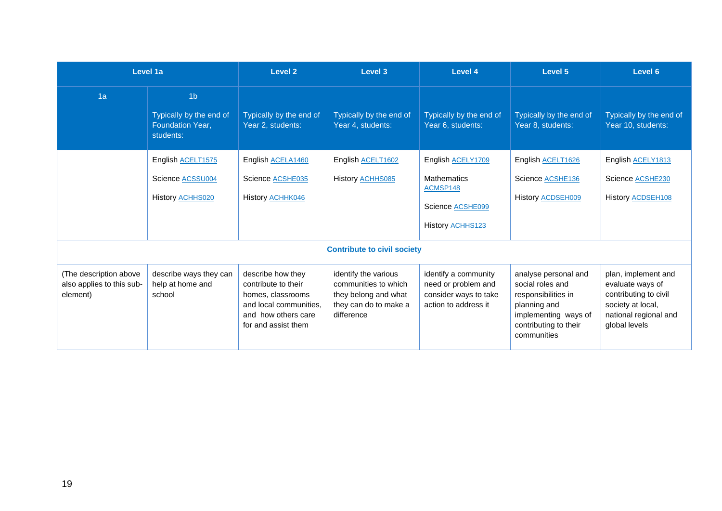|                                                                 | Level 1a                                                                   | Level <sub>2</sub>                                                                                                                    | Level 3                                                                                                     | Level 4                                                                                            | Level 5                                                                                                                                         | Level 6                                                                                                                         |
|-----------------------------------------------------------------|----------------------------------------------------------------------------|---------------------------------------------------------------------------------------------------------------------------------------|-------------------------------------------------------------------------------------------------------------|----------------------------------------------------------------------------------------------------|-------------------------------------------------------------------------------------------------------------------------------------------------|---------------------------------------------------------------------------------------------------------------------------------|
| 1a                                                              | 1 <sub>b</sub><br>Typically by the end of<br>Foundation Year,<br>students: | Typically by the end of<br>Year 2, students:                                                                                          | Typically by the end of<br>Year 4, students:                                                                | Typically by the end of<br>Year 6, students:                                                       | Typically by the end of<br>Year 8, students:                                                                                                    | Typically by the end of<br>Year 10, students:                                                                                   |
|                                                                 | English ACELT1575<br>Science ACSSU004<br>History <b>ACHHS020</b>           | English ACELA1460<br>Science <b>ACSHE035</b><br>History <b>ACHHK046</b>                                                               | English ACELT1602<br>History <b>ACHHS085</b>                                                                | English ACELY1709<br><b>Mathematics</b><br>ACMSP148<br>Science ACSHE099<br>History <b>ACHHS123</b> | English ACELT1626<br>Science <b>ACSHE136</b><br>History <b>ACDSEH009</b>                                                                        | English ACELY1813<br>Science <b>ACSHE230</b><br>History <b>ACDSEH108</b>                                                        |
|                                                                 |                                                                            |                                                                                                                                       | <b>Contribute to civil society</b>                                                                          |                                                                                                    |                                                                                                                                                 |                                                                                                                                 |
| (The description above<br>also applies to this sub-<br>element) | describe ways they can<br>help at home and<br>school                       | describe how they<br>contribute to their<br>homes, classrooms<br>and local communities.<br>and how others care<br>for and assist them | identify the various<br>communities to which<br>they belong and what<br>they can do to make a<br>difference | identify a community<br>need or problem and<br>consider ways to take<br>action to address it       | analyse personal and<br>social roles and<br>responsibilities in<br>planning and<br>implementing ways of<br>contributing to their<br>communities | plan, implement and<br>evaluate ways of<br>contributing to civil<br>society at local,<br>national regional and<br>global levels |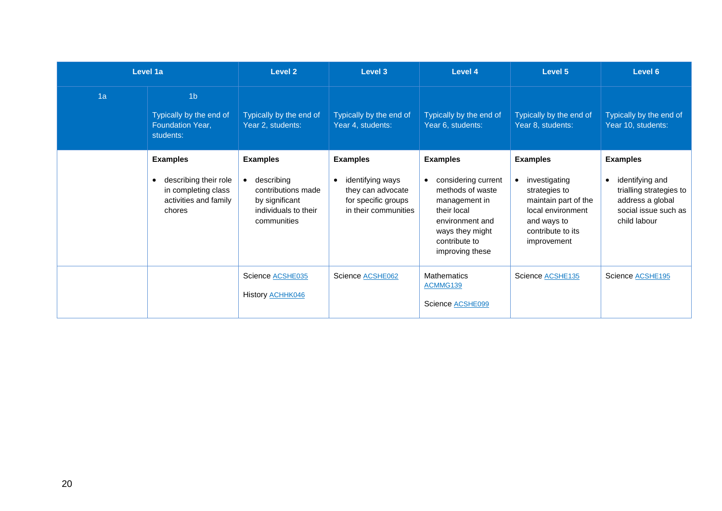| Level 1a |                                                                                                                 | Level 2                                                                                                                   | Level 3                                                                                                 | Level 4                                                                                                                                                                           | Level 5                                                                                                                                                        | Level 6                                                                                                                   |
|----------|-----------------------------------------------------------------------------------------------------------------|---------------------------------------------------------------------------------------------------------------------------|---------------------------------------------------------------------------------------------------------|-----------------------------------------------------------------------------------------------------------------------------------------------------------------------------------|----------------------------------------------------------------------------------------------------------------------------------------------------------------|---------------------------------------------------------------------------------------------------------------------------|
| 1a       | 1 <sub>b</sub><br>Typically by the end of<br>Foundation Year,<br>students:                                      | Typically by the end of<br>Year 2, students:                                                                              | Typically by the end of<br>Year 4, students:                                                            | Typically by the end of<br>Year 6, students:                                                                                                                                      | Typically by the end of<br>Year 8, students:                                                                                                                   | Typically by the end of<br>Year 10, students:                                                                             |
|          | <b>Examples</b><br>describing their role<br>$\bullet$<br>in completing class<br>activities and family<br>chores | <b>Examples</b><br>describing<br>$\bullet$<br>contributions made<br>by significant<br>individuals to their<br>communities | <b>Examples</b><br>identifying ways<br>they can advocate<br>for specific groups<br>in their communities | <b>Examples</b><br>considering current<br>$\bullet$<br>methods of waste<br>management in<br>their local<br>environment and<br>ways they might<br>contribute to<br>improving these | <b>Examples</b><br>investigating<br>$\bullet$<br>strategies to<br>maintain part of the<br>local environment<br>and ways to<br>contribute to its<br>improvement | <b>Examples</b><br>identifying and<br>trialling strategies to<br>address a global<br>social issue such as<br>child labour |
|          |                                                                                                                 | Science <b>ACSHE035</b><br>History <b>ACHHK046</b>                                                                        | Science <b>ACSHE062</b>                                                                                 | <b>Mathematics</b><br>ACMMG139<br>Science <b>ACSHE099</b>                                                                                                                         | Science <b>ACSHE135</b>                                                                                                                                        | Science <b>ACSHE195</b>                                                                                                   |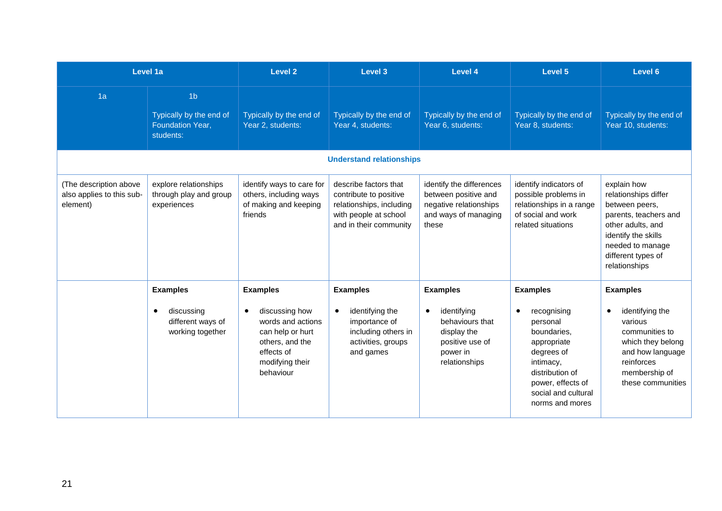| Level 1a                                                        |                                                                                     | <b>Level 2</b>                                                                                                                                           | Level 3                                                                                                                        | <b>Level 4</b>                                                                                                        | Level 5                                                                                                                                                                                            | Level 6                                                                                                                                                                               |
|-----------------------------------------------------------------|-------------------------------------------------------------------------------------|----------------------------------------------------------------------------------------------------------------------------------------------------------|--------------------------------------------------------------------------------------------------------------------------------|-----------------------------------------------------------------------------------------------------------------------|----------------------------------------------------------------------------------------------------------------------------------------------------------------------------------------------------|---------------------------------------------------------------------------------------------------------------------------------------------------------------------------------------|
| 1a                                                              | 1 <sub>b</sub><br>Typically by the end of<br>Foundation Year,<br>students:          | Typically by the end of<br>Year 2, students:                                                                                                             | Typically by the end of<br>Year 4, students:                                                                                   | Typically by the end of<br>Year 6, students:                                                                          | Typically by the end of<br>Year 8, students:                                                                                                                                                       | Typically by the end of<br>Year 10, students:                                                                                                                                         |
|                                                                 |                                                                                     |                                                                                                                                                          | <b>Understand relationships</b>                                                                                                |                                                                                                                       |                                                                                                                                                                                                    |                                                                                                                                                                                       |
| (The description above<br>also applies to this sub-<br>element) | explore relationships<br>through play and group<br>experiences                      | identify ways to care for<br>others, including ways<br>of making and keeping<br>friends                                                                  | describe factors that<br>contribute to positive<br>relationships, including<br>with people at school<br>and in their community | identify the differences<br>between positive and<br>negative relationships<br>and ways of managing<br>these           | identify indicators of<br>possible problems in<br>relationships in a range<br>of social and work<br>related situations                                                                             | explain how<br>relationships differ<br>between peers,<br>parents, teachers and<br>other adults, and<br>identify the skills<br>needed to manage<br>different types of<br>relationships |
|                                                                 | <b>Examples</b><br>discussing<br>$\bullet$<br>different ways of<br>working together | <b>Examples</b><br>discussing how<br>$\bullet$<br>words and actions<br>can help or hurt<br>others, and the<br>effects of<br>modifying their<br>behaviour | <b>Examples</b><br>identifying the<br>$\bullet$<br>importance of<br>including others in<br>activities, groups<br>and games     | <b>Examples</b><br>identifying<br>٠<br>behaviours that<br>display the<br>positive use of<br>power in<br>relationships | <b>Examples</b><br>recognising<br>$\bullet$<br>personal<br>boundaries,<br>appropriate<br>degrees of<br>intimacy,<br>distribution of<br>power, effects of<br>social and cultural<br>norms and mores | <b>Examples</b><br>identifying the<br>various<br>communities to<br>which they belong<br>and how language<br>reinforces<br>membership of<br>these communities                          |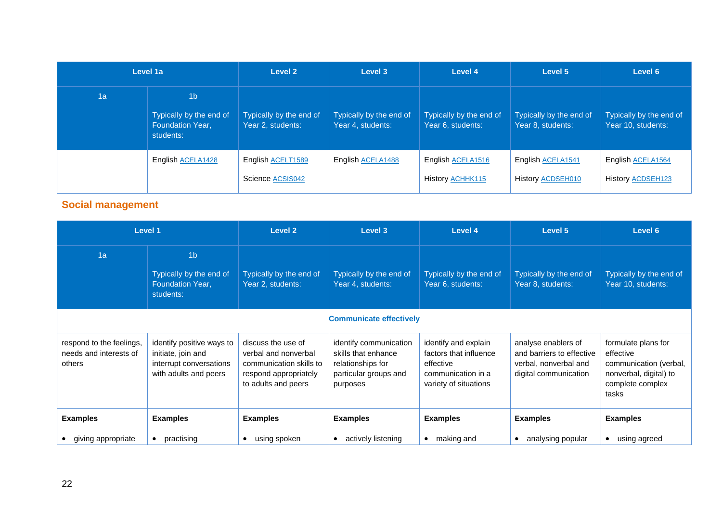| Level 1a |                                                                       | Level 2                                      | Level 3                                      | Level 4                                      | Level 5                                       | Level 6                                       |
|----------|-----------------------------------------------------------------------|----------------------------------------------|----------------------------------------------|----------------------------------------------|-----------------------------------------------|-----------------------------------------------|
| 1a       | 1b<br>Typically by the end of<br><b>Foundation Year,</b><br>students: | Typically by the end of<br>Year 2, students: | Typically by the end of<br>Year 4, students: | Typically by the end of<br>Year 6, students: | Typically by the end of<br>Year 8, students:  | Typically by the end of<br>Year 10, students: |
|          | English ACELA1428                                                     | English ACELT1589<br>Science ACSIS042        | English ACELA1488                            | English ACELA1516<br>History <b>ACHHK115</b> | English ACELA1541<br>History <b>ACDSEH010</b> | English ACELA1564<br>History <b>ACDSEH123</b> |

# **Social management**

| <b>Level 1</b>                                               |                                                                                                     | Level 2                                                                                                               | Level 3                                                                                                 | Level 4                                                                                                    | Level 5                                                                                            | Level 6                                                                                                           |  |  |
|--------------------------------------------------------------|-----------------------------------------------------------------------------------------------------|-----------------------------------------------------------------------------------------------------------------------|---------------------------------------------------------------------------------------------------------|------------------------------------------------------------------------------------------------------------|----------------------------------------------------------------------------------------------------|-------------------------------------------------------------------------------------------------------------------|--|--|
| 1a                                                           | 1 <sub>b</sub><br>Typically by the end of<br>Foundation Year,<br>students:                          | Typically by the end of<br>Year 2, students:                                                                          | Typically by the end of<br>Year 4, students:                                                            | Typically by the end of<br>Year 6, students:                                                               | Typically by the end of<br>Year 8, students:                                                       | Typically by the end of<br>Year 10, students:                                                                     |  |  |
| <b>Communicate effectively</b>                               |                                                                                                     |                                                                                                                       |                                                                                                         |                                                                                                            |                                                                                                    |                                                                                                                   |  |  |
| respond to the feelings,<br>needs and interests of<br>others | identify positive ways to<br>initiate, join and<br>interrupt conversations<br>with adults and peers | discuss the use of<br>verbal and nonverbal<br>communication skills to<br>respond appropriately<br>to adults and peers | identify communication<br>skills that enhance<br>relationships for<br>particular groups and<br>purposes | identify and explain<br>factors that influence<br>effective<br>communication in a<br>variety of situations | analyse enablers of<br>and barriers to effective<br>verbal, nonverbal and<br>digital communication | formulate plans for<br>effective<br>communication (verbal,<br>nonverbal, digital) to<br>complete complex<br>tasks |  |  |
| <b>Examples</b>                                              | <b>Examples</b>                                                                                     | <b>Examples</b>                                                                                                       | <b>Examples</b>                                                                                         | <b>Examples</b>                                                                                            | <b>Examples</b>                                                                                    | <b>Examples</b>                                                                                                   |  |  |
| giving appropriate                                           | practising                                                                                          | using spoken                                                                                                          | actively listening                                                                                      | making and<br>$\bullet$                                                                                    | analysing popular                                                                                  | using agreed                                                                                                      |  |  |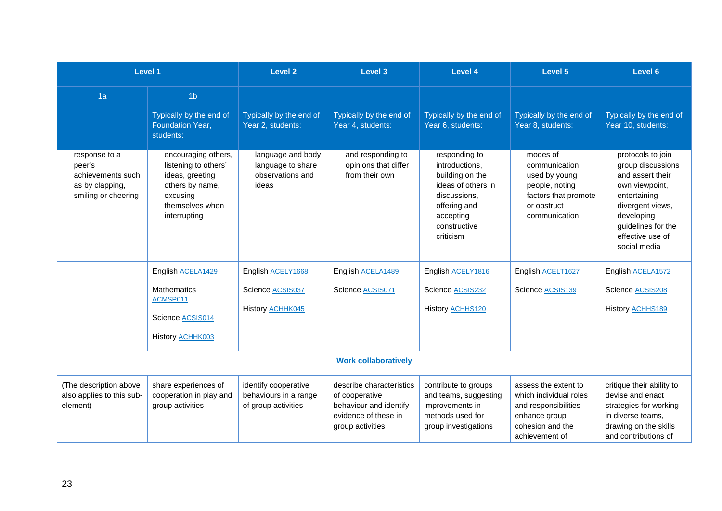| Level 1                                                                                |                                                                                                                                  | <b>Level 2</b>                                                       | <b>Level 3</b>                                                                                                   | Level 4                                                                                                                                            | Level 5                                                                                                                       | Level 6                                                                                                                                                                                  |  |  |
|----------------------------------------------------------------------------------------|----------------------------------------------------------------------------------------------------------------------------------|----------------------------------------------------------------------|------------------------------------------------------------------------------------------------------------------|----------------------------------------------------------------------------------------------------------------------------------------------------|-------------------------------------------------------------------------------------------------------------------------------|------------------------------------------------------------------------------------------------------------------------------------------------------------------------------------------|--|--|
| 1a                                                                                     | 1 <sub>b</sub><br>Typically by the end of<br>Foundation Year,<br>students:                                                       | Typically by the end of<br>Year 2, students:                         | Typically by the end of<br>Year 4, students:                                                                     | Typically by the end of<br>Year 6, students:                                                                                                       | Typically by the end of<br>Year 8, students:                                                                                  | Typically by the end of<br>Year 10, students:                                                                                                                                            |  |  |
| response to a<br>peer's<br>achievements such<br>as by clapping,<br>smiling or cheering | encouraging others,<br>listening to others'<br>ideas, greeting<br>others by name,<br>excusing<br>themselves when<br>interrupting | language and body<br>language to share<br>observations and<br>ideas  | and responding to<br>opinions that differ<br>from their own                                                      | responding to<br>introductions,<br>building on the<br>ideas of others in<br>discussions.<br>offering and<br>accepting<br>constructive<br>criticism | modes of<br>communication<br>used by young<br>people, noting<br>factors that promote<br>or obstruct<br>communication          | protocols to join<br>group discussions<br>and assert their<br>own viewpoint,<br>entertaining<br>divergent views,<br>developing<br>guidelines for the<br>effective use of<br>social media |  |  |
|                                                                                        | English ACELA1429                                                                                                                | English ACELY1668                                                    | English ACELA1489                                                                                                | English ACELY1816                                                                                                                                  | English ACELT1627                                                                                                             | English ACELA1572                                                                                                                                                                        |  |  |
|                                                                                        | <b>Mathematics</b><br>ACMSP011                                                                                                   | Science ACSIS037                                                     | Science ACSIS071                                                                                                 | Science ACSIS232                                                                                                                                   | Science ACSIS139                                                                                                              | Science ACSIS208                                                                                                                                                                         |  |  |
|                                                                                        | Science ACSIS014                                                                                                                 | History <b>ACHHK045</b>                                              |                                                                                                                  | History <b>ACHHS120</b>                                                                                                                            |                                                                                                                               | History <b>ACHHS189</b>                                                                                                                                                                  |  |  |
|                                                                                        | History <b>ACHHK003</b>                                                                                                          |                                                                      |                                                                                                                  |                                                                                                                                                    |                                                                                                                               |                                                                                                                                                                                          |  |  |
| <b>Work collaboratively</b>                                                            |                                                                                                                                  |                                                                      |                                                                                                                  |                                                                                                                                                    |                                                                                                                               |                                                                                                                                                                                          |  |  |
| (The description above<br>also applies to this sub-<br>element)                        | share experiences of<br>cooperation in play and<br>group activities                                                              | identify cooperative<br>behaviours in a range<br>of group activities | describe characteristics<br>of cooperative<br>behaviour and identify<br>evidence of these in<br>group activities | contribute to groups<br>and teams, suggesting<br>improvements in<br>methods used for<br>group investigations                                       | assess the extent to<br>which individual roles<br>and responsibilities<br>enhance group<br>cohesion and the<br>achievement of | critique their ability to<br>devise and enact<br>strategies for working<br>in diverse teams.<br>drawing on the skills<br>and contributions of                                            |  |  |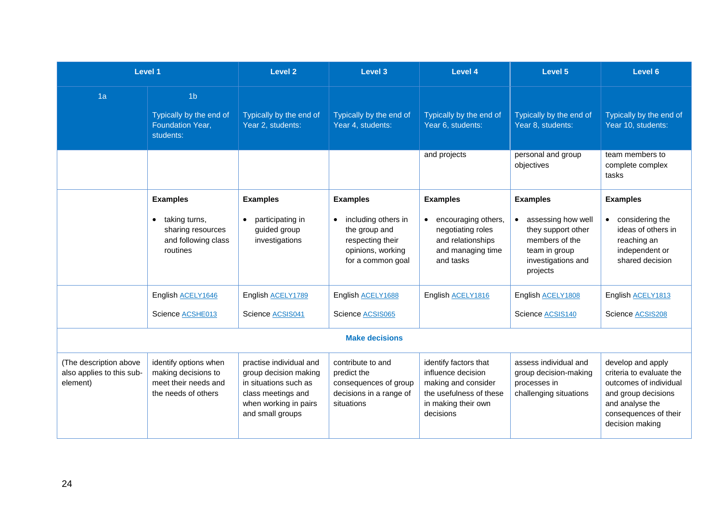| Level 1                                                         |                                                                                                       | <b>Level 2</b>                                                                                                                               | Level 3                                                                                                               | Level 4                                                                                                                           | Level 5                                                                                                                                       | Level 6                                                                                                                                                       |  |
|-----------------------------------------------------------------|-------------------------------------------------------------------------------------------------------|----------------------------------------------------------------------------------------------------------------------------------------------|-----------------------------------------------------------------------------------------------------------------------|-----------------------------------------------------------------------------------------------------------------------------------|-----------------------------------------------------------------------------------------------------------------------------------------------|---------------------------------------------------------------------------------------------------------------------------------------------------------------|--|
| 1a                                                              | 1 <sub>b</sub><br>Typically by the end of<br>Foundation Year,<br>students:                            | Typically by the end of<br>Year 2, students:                                                                                                 | Typically by the end of<br>Year 4, students:                                                                          | Typically by the end of<br>Year 6, students:                                                                                      | Typically by the end of<br>Year 8, students:                                                                                                  | Typically by the end of<br>Year 10, students:                                                                                                                 |  |
|                                                                 |                                                                                                       |                                                                                                                                              |                                                                                                                       | and projects                                                                                                                      | personal and group<br>objectives                                                                                                              | team members to<br>complete complex<br>tasks                                                                                                                  |  |
|                                                                 | <b>Examples</b><br>taking turns,<br>$\bullet$<br>sharing resources<br>and following class<br>routines | <b>Examples</b><br>participating in<br>guided group<br>investigations                                                                        | <b>Examples</b><br>including others in<br>the group and<br>respecting their<br>opinions, working<br>for a common goal | <b>Examples</b><br>encouraging others,<br>$\bullet$<br>negotiating roles<br>and relationships<br>and managing time<br>and tasks   | <b>Examples</b><br>assessing how well<br>$\bullet$<br>they support other<br>members of the<br>team in group<br>investigations and<br>projects | <b>Examples</b><br>• considering the<br>ideas of others in<br>reaching an<br>independent or<br>shared decision                                                |  |
|                                                                 | English ACELY1646<br>Science <b>ACSHE013</b>                                                          | English ACELY1789<br>Science ACSIS041                                                                                                        | English ACELY1688<br>Science ACSIS065                                                                                 | English ACELY1816                                                                                                                 | English ACELY1808<br>Science ACSIS140                                                                                                         | English ACELY1813<br>Science ACSIS208                                                                                                                         |  |
| <b>Make decisions</b>                                           |                                                                                                       |                                                                                                                                              |                                                                                                                       |                                                                                                                                   |                                                                                                                                               |                                                                                                                                                               |  |
| (The description above<br>also applies to this sub-<br>element) | identify options when<br>making decisions to<br>meet their needs and<br>the needs of others           | practise individual and<br>group decision making<br>in situations such as<br>class meetings and<br>when working in pairs<br>and small groups | contribute to and<br>predict the<br>consequences of group<br>decisions in a range of<br>situations                    | identify factors that<br>influence decision<br>making and consider<br>the usefulness of these<br>in making their own<br>decisions | assess individual and<br>group decision-making<br>processes in<br>challenging situations                                                      | develop and apply<br>criteria to evaluate the<br>outcomes of individual<br>and group decisions<br>and analyse the<br>consequences of their<br>decision making |  |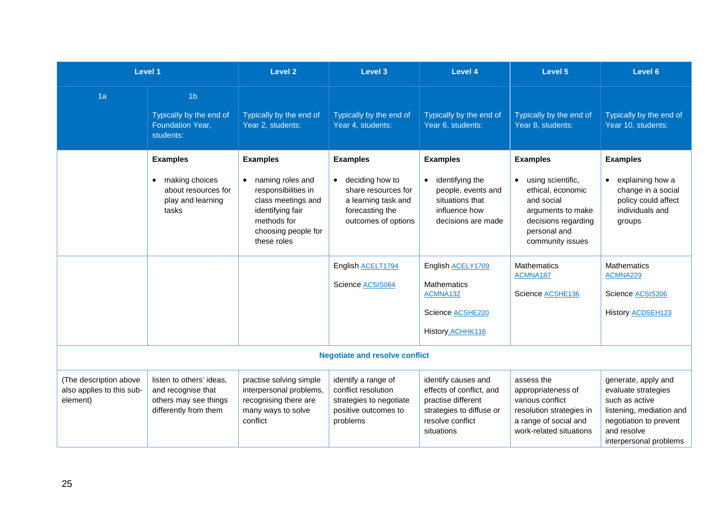| Level 1                                                         |                                                                                                     | Level 2                                                                                                                                                   | Level 3                                                                                                                    | <b>Level 4</b>                                                                                                                      | Level 5                                                                                                                                                              | Level 6                                                                                                                                                     |  |  |
|-----------------------------------------------------------------|-----------------------------------------------------------------------------------------------------|-----------------------------------------------------------------------------------------------------------------------------------------------------------|----------------------------------------------------------------------------------------------------------------------------|-------------------------------------------------------------------------------------------------------------------------------------|----------------------------------------------------------------------------------------------------------------------------------------------------------------------|-------------------------------------------------------------------------------------------------------------------------------------------------------------|--|--|
| 1a                                                              | 1 <sub>b</sub><br>Typically by the end of<br>Foundation Year,<br>students:                          | Typically by the end of<br>Year 2, students:                                                                                                              | Typically by the end of<br>Year 4, students:                                                                               | Typically by the end of<br>Year 6, students:                                                                                        | Typically by the end of<br>Year 8, students:                                                                                                                         | Typically by the end of<br>Year 10, students:                                                                                                               |  |  |
|                                                                 | <b>Examples</b><br>making choices<br>$\bullet$<br>about resources for<br>play and learning<br>tasks | <b>Examples</b><br>naming roles and<br>responsibilities in<br>class meetings and<br>identifying fair<br>methods for<br>choosing people for<br>these roles | <b>Examples</b><br>deciding how to<br>share resources for<br>a learning task and<br>forecasting the<br>outcomes of options | <b>Examples</b><br>identifying the<br>$\bullet$<br>people, events and<br>situations that<br>influence how<br>decisions are made     | <b>Examples</b><br>using scientific,<br>$\bullet$<br>ethical, economic<br>and social<br>arguments to make<br>decisions regarding<br>personal and<br>community issues | <b>Examples</b><br>explaining how a<br>$\bullet$<br>change in a social<br>policy could affect<br>individuals and<br>groups                                  |  |  |
|                                                                 |                                                                                                     |                                                                                                                                                           | English ACELT1794<br>Science ACSIS064                                                                                      | English ACELY1709<br><b>Mathematics</b><br>ACMNA132<br>Science <b>ACSHE220</b><br>History_ACHHK116                                  | <b>Mathematics</b><br>ACMNA187<br>Science <b>ACSHE136</b>                                                                                                            | <b>Mathematics</b><br>ACMNA229<br>Science ACSIS206<br>History <b>ACDSEH123</b>                                                                              |  |  |
| <b>Negotiate and resolve conflict</b>                           |                                                                                                     |                                                                                                                                                           |                                                                                                                            |                                                                                                                                     |                                                                                                                                                                      |                                                                                                                                                             |  |  |
| (The description above<br>also applies to this sub-<br>element) | listen to others' ideas,<br>and recognise that<br>others may see things<br>differently from them    | practise solving simple<br>interpersonal problems,<br>recognising there are<br>many ways to solve<br>conflict                                             | identify a range of<br>conflict resolution<br>strategies to negotiate<br>positive outcomes to<br>problems                  | identify causes and<br>effects of conflict, and<br>practise different<br>strategies to diffuse or<br>resolve conflict<br>situations | assess the<br>appropriateness of<br>various conflict<br>resolution strategies in<br>a range of social and<br>work-related situations                                 | generate, apply and<br>evaluate strategies<br>such as active<br>listening, mediation and<br>negotiation to prevent<br>and resolve<br>interpersonal problems |  |  |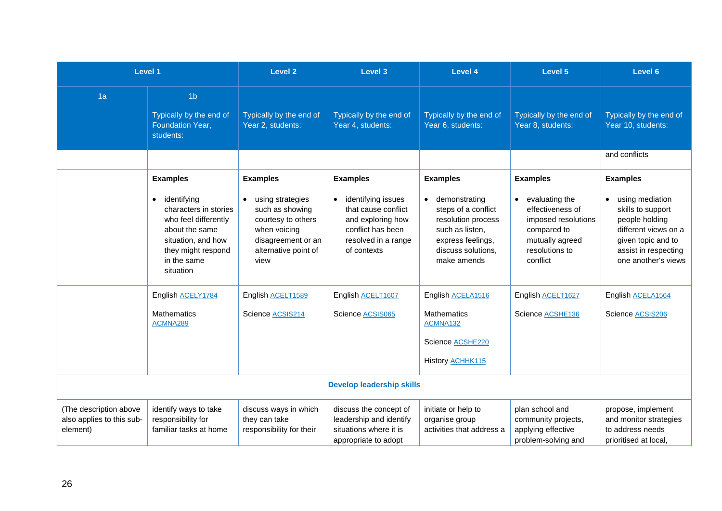| Level 1                                                         |                                                                                                                                                                                        | <b>Level 2</b>                                                                                                                                     | <b>Level 3</b>                                                                                                                               | Level 4                                                                                                                                                                 | Level 5                                                                                                                                                   | Level 6                                                                                                                                                                  |
|-----------------------------------------------------------------|----------------------------------------------------------------------------------------------------------------------------------------------------------------------------------------|----------------------------------------------------------------------------------------------------------------------------------------------------|----------------------------------------------------------------------------------------------------------------------------------------------|-------------------------------------------------------------------------------------------------------------------------------------------------------------------------|-----------------------------------------------------------------------------------------------------------------------------------------------------------|--------------------------------------------------------------------------------------------------------------------------------------------------------------------------|
| 1a                                                              | 1 <sub>b</sub><br>Typically by the end of<br>Foundation Year,<br>students:                                                                                                             | Typically by the end of<br>Year 2, students:                                                                                                       | Typically by the end of<br>Year 4, students:                                                                                                 | Typically by the end of<br>Year 6, students:                                                                                                                            | Typically by the end of<br>Year 8, students:                                                                                                              | Typically by the end of<br>Year 10, students:                                                                                                                            |
|                                                                 |                                                                                                                                                                                        |                                                                                                                                                    |                                                                                                                                              |                                                                                                                                                                         |                                                                                                                                                           | and conflicts                                                                                                                                                            |
|                                                                 | <b>Examples</b><br>identifying<br>$\bullet$<br>characters in stories<br>who feel differently<br>about the same<br>situation, and how<br>they might respond<br>in the same<br>situation | <b>Examples</b><br>using strategies<br>such as showing<br>courtesy to others<br>when voicing<br>disagreement or an<br>alternative point of<br>view | <b>Examples</b><br>identifying issues<br>that cause conflict<br>and exploring how<br>conflict has been<br>resolved in a range<br>of contexts | <b>Examples</b><br>demonstrating<br>$\bullet$<br>steps of a conflict<br>resolution process<br>such as listen,<br>express feelings,<br>discuss solutions,<br>make amends | <b>Examples</b><br>evaluating the<br>$\bullet$<br>effectiveness of<br>imposed resolutions<br>compared to<br>mutually agreed<br>resolutions to<br>conflict | <b>Examples</b><br>• using mediation<br>skills to support<br>people holding<br>different views on a<br>given topic and to<br>assist in respecting<br>one another's views |
|                                                                 | English ACELY1784<br><b>Mathematics</b><br>ACMNA289                                                                                                                                    | English ACELT1589<br>Science ACSIS214                                                                                                              | English ACELT1607<br>Science ACSIS065                                                                                                        | English ACELA1516<br><b>Mathematics</b><br>ACMNA132<br>Science <b>ACSHE220</b><br>History <b>ACHHK115</b>                                                               | English ACELT1627<br>Science <b>ACSHE136</b>                                                                                                              | English ACELA1564<br>Science ACSIS206                                                                                                                                    |
| <b>Develop leadership skills</b>                                |                                                                                                                                                                                        |                                                                                                                                                    |                                                                                                                                              |                                                                                                                                                                         |                                                                                                                                                           |                                                                                                                                                                          |
| (The description above<br>also applies to this sub-<br>element) | identify ways to take<br>responsibility for<br>familiar tasks at home                                                                                                                  | discuss ways in which<br>they can take<br>responsibility for their                                                                                 | discuss the concept of<br>leadership and identify<br>situations where it is<br>appropriate to adopt                                          | initiate or help to<br>organise group<br>activities that address a                                                                                                      | plan school and<br>community projects,<br>applying effective<br>problem-solving and                                                                       | propose, implement<br>and monitor strategies<br>to address needs<br>prioritised at local,                                                                                |